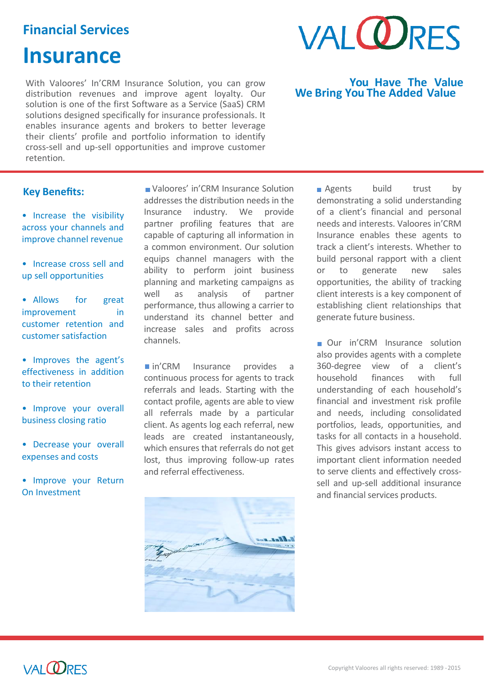# **Financial Services**

# **Insurance**

With Valoores' In'CRM Insurance Solution, you can grow distribution revenues and improve agent loyalty. Our solution is one of the first Software as a Service (SaaS) CRM solutions designed specifically for insurance professionals. It enables insurance agents and brokers to better leverage their clients' profile and portfolio information to identify cross-sell and up-sell opportunities and improve customer retention*.*

# **Key Benefits:**

- Increase the visibility across your channels and improve channel revenue
- Increase cross sell and up sell opportunities

• Allows for great improvement in customer retention and customer satisfaction

- Improves the agent's effectiveness in addition to their retention
- Improve your overall business closing ratio
- Decrease your overall expenses and costs
- Improve your Return On Investment

 Valoores' in'CRM Insurance Solution addresses the distribution needs in the Insurance industry. We provide partner profiling features that are capable of capturing all information in a common environment. Our solution equips channel managers with the ability to perform joint business planning and marketing campaigns as well as analysis of partner performance, thus allowing a carrier to understand its channel better and increase sales and profits across channels.

n'CRM Insurance provides a continuous process for agents to track referrals and leads. Starting with the contact profile, agents are able to view all referrals made by a particular client. As agents log each referral, new leads are created instantaneously, which ensures that referrals do not get lost, thus improving follow-up rates and referral effectiveness.





### **You Have The Value We Bring You The Added Value**

**Agents** build trust by demonstrating a solid understanding of a client's financial and personal needs and interests. Valoores in'CRM Insurance enables these agents to track a client's interests. Whether to build personal rapport with a client or to generate new sales opportunities, the ability of tracking client interests is a key component of establishing client relationships that generate future business.

Our in'CRM Insurance solution also provides agents with a complete 360-degree view of a client's household finances with full understanding of each household's financial and investment risk profile and needs, including consolidated portfolios, leads, opportunities, and tasks for all contacts in a household. This gives advisors instant access to important client information needed to serve clients and effectively crosssell and up-sell additional insurance and financial services products.